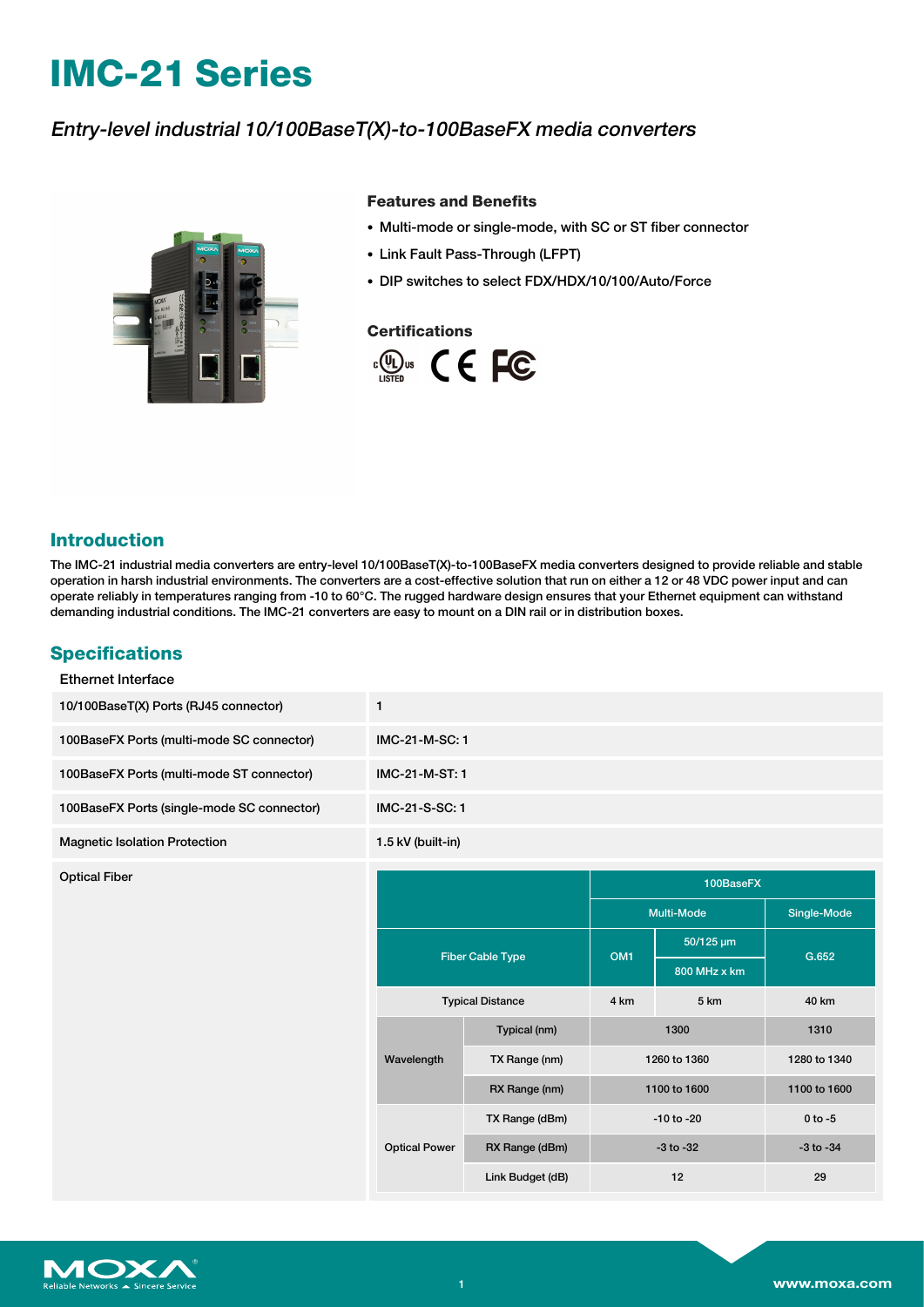# **IMC-21 Series**

# Entry-level industrial 10/100BaseT(X)-to-100BaseFX media converters



#### **Features and Benefits**

- Multi-mode or single-mode, with SC or ST fiber connector
- Link Fault Pass-Through (LFPT)
- DIP switches to select FDX/HDX/10/100/Auto/Force

#### **Certifications**



## **Introduction**

The IMC-21 industrial media converters are entry-level 10/100BaseT(X)-to-100BaseFX media converters designed to provide reliable and stable operation in harsh industrial environments. The converters are a cost-effective solution that run on either a 12 or 48 VDC power input and can operate reliably in temperatures ranging from -10 to 60°C. The rugged hardware design ensures that your Ethernet equipment can withstand demanding industrial conditions. The IMC-21 converters are easy to mount on a DIN rail or in distribution boxes.

### **Specifications**

| 1                    |                         |                 |                |               |
|----------------------|-------------------------|-----------------|----------------|---------------|
| IMC-21-M-SC: 1       |                         |                 |                |               |
| IMC-21-M-ST: 1       |                         |                 |                |               |
| IMC-21-S-SC: 1       |                         |                 |                |               |
| 1.5 kV (built-in)    |                         |                 |                |               |
|                      |                         |                 | 100BaseFX      |               |
|                      |                         | Multi-Mode      |                | Single-Mode   |
|                      |                         |                 |                |               |
|                      |                         |                 | 50/125 um      |               |
|                      | <b>Fiber Cable Type</b> | OM <sub>1</sub> | 800 MHz x km   | G.652         |
|                      | <b>Typical Distance</b> | 4 km            | 5 km           | 40 km         |
|                      | Typical (nm)            |                 | 1300           | 1310          |
| Wavelength           | TX Range (nm)           |                 | 1260 to 1360   | 1280 to 1340  |
|                      | RX Range (nm)           |                 | 1100 to 1600   | 1100 to 1600  |
|                      | TX Range (dBm)          |                 | $-10$ to $-20$ | $0$ to $-5$   |
| <b>Optical Power</b> | RX Range (dBm)          |                 | $-3$ to $-32$  | $-3$ to $-34$ |
|                      |                         |                 |                |               |

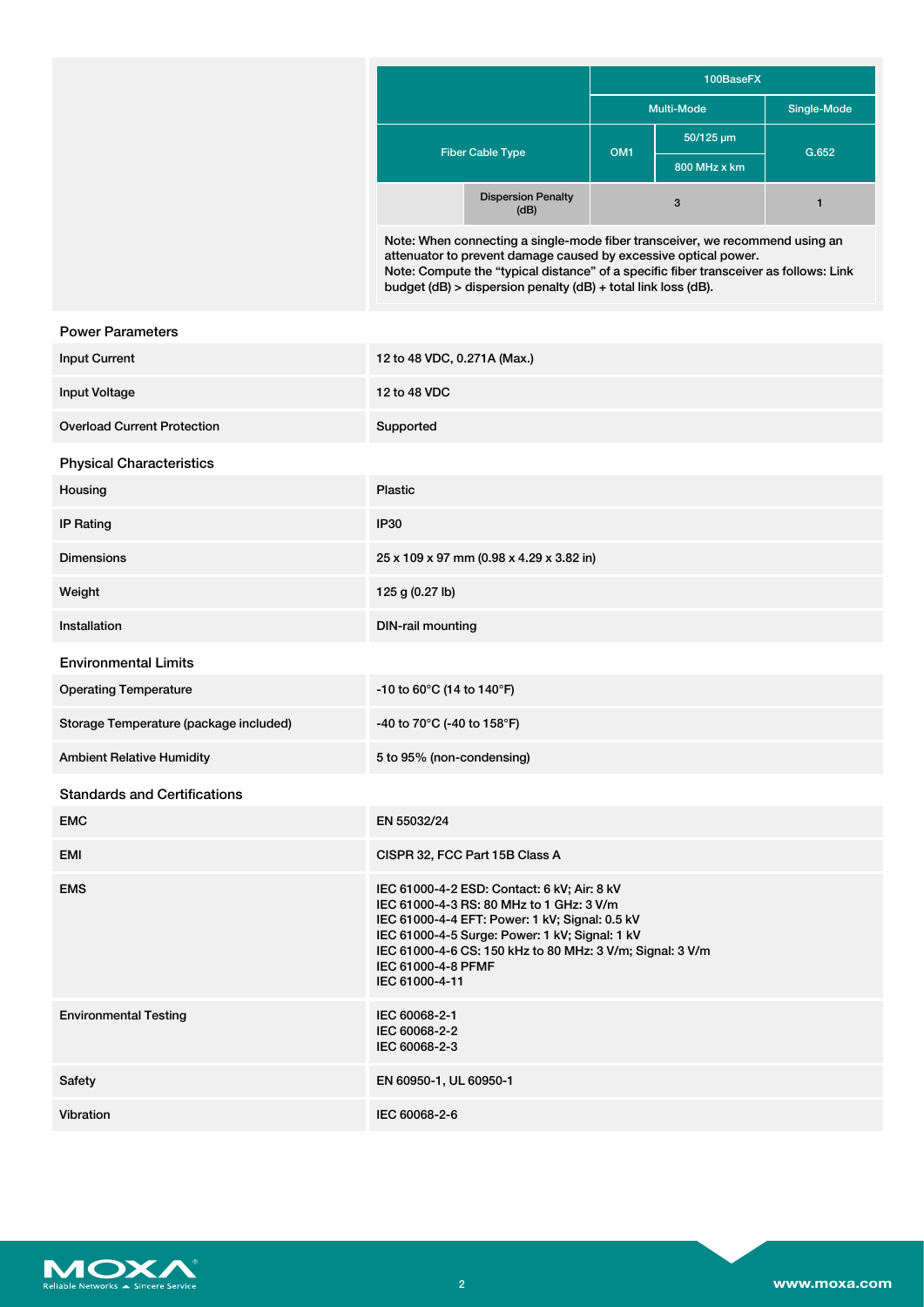|                         |                                                                                                                                                                                                                                                                                                           | 100BaseFX       |                   |             |
|-------------------------|-----------------------------------------------------------------------------------------------------------------------------------------------------------------------------------------------------------------------------------------------------------------------------------------------------------|-----------------|-------------------|-------------|
|                         |                                                                                                                                                                                                                                                                                                           |                 | <b>Multi-Mode</b> | Single-Mode |
| <b>Fiber Cable Type</b> |                                                                                                                                                                                                                                                                                                           |                 | 50/125 um         |             |
|                         |                                                                                                                                                                                                                                                                                                           | OM <sub>1</sub> | 800 MHz x km      | G.652       |
|                         | <b>Dispersion Penalty</b><br>(dB)                                                                                                                                                                                                                                                                         |                 | $\mathbf{3}$      |             |
|                         | Note: When connecting a single-mode fiber transceiver, we recommend using an<br>attenuator to prevent damage caused by excessive optical power.<br>Note: Compute the "typical distance" of a specific fiber transceiver as follows: Link<br>budget (dB) > dispersion penalty (dB) + total link loss (dB). |                 |                   |             |

| <b>Power Parameters</b>                |                                                                                                                                                                                                                                                                                                  |
|----------------------------------------|--------------------------------------------------------------------------------------------------------------------------------------------------------------------------------------------------------------------------------------------------------------------------------------------------|
| <b>Input Current</b>                   | 12 to 48 VDC, 0.271A (Max.)                                                                                                                                                                                                                                                                      |
| Input Voltage                          | 12 to 48 VDC                                                                                                                                                                                                                                                                                     |
| <b>Overload Current Protection</b>     | Supported                                                                                                                                                                                                                                                                                        |
| <b>Physical Characteristics</b>        |                                                                                                                                                                                                                                                                                                  |
| Housing                                | Plastic                                                                                                                                                                                                                                                                                          |
| <b>IP Rating</b>                       | IP30                                                                                                                                                                                                                                                                                             |
| <b>Dimensions</b>                      | 25 x 109 x 97 mm (0.98 x 4.29 x 3.82 in)                                                                                                                                                                                                                                                         |
| Weight                                 | 125 g (0.27 lb)                                                                                                                                                                                                                                                                                  |
| Installation                           | <b>DIN-rail mounting</b>                                                                                                                                                                                                                                                                         |
| <b>Environmental Limits</b>            |                                                                                                                                                                                                                                                                                                  |
| <b>Operating Temperature</b>           | -10 to 60°C (14 to 140°F)                                                                                                                                                                                                                                                                        |
| Storage Temperature (package included) | -40 to 70°C (-40 to 158°F)                                                                                                                                                                                                                                                                       |
| <b>Ambient Relative Humidity</b>       | 5 to 95% (non-condensing)                                                                                                                                                                                                                                                                        |
| <b>Standards and Certifications</b>    |                                                                                                                                                                                                                                                                                                  |
| <b>EMC</b>                             | EN 55032/24                                                                                                                                                                                                                                                                                      |
| EMI                                    | CISPR 32, FCC Part 15B Class A                                                                                                                                                                                                                                                                   |
| <b>EMS</b>                             | IEC 61000-4-2 ESD: Contact: 6 kV; Air: 8 kV<br>IEC 61000-4-3 RS: 80 MHz to 1 GHz: 3 V/m<br>IEC 61000-4-4 EFT: Power: 1 kV; Signal: 0.5 kV<br>IEC 61000-4-5 Surge: Power: 1 kV; Signal: 1 kV<br>IEC 61000-4-6 CS: 150 kHz to 80 MHz: 3 V/m; Signal: 3 V/m<br>IEC 61000-4-8 PFMF<br>IEC 61000-4-11 |
| <b>Environmental Testing</b>           | IEC 60068-2-1<br>IEC 60068-2-2<br>IEC 60068-2-3                                                                                                                                                                                                                                                  |
| Safety                                 | EN 60950-1, UL 60950-1                                                                                                                                                                                                                                                                           |
| Vibration                              | IEC 60068-2-6                                                                                                                                                                                                                                                                                    |
|                                        |                                                                                                                                                                                                                                                                                                  |